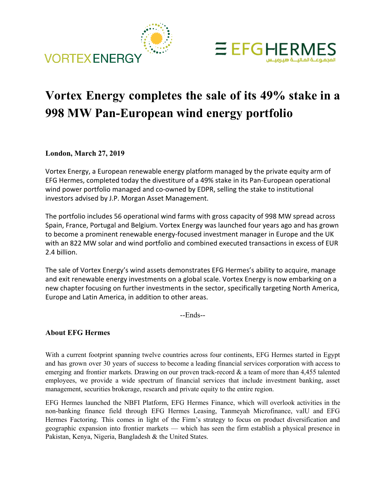



## **Vortex Energy completes the sale of its 49% stake in a 998 MW Pan-European wind energy portfolio**

## **London, March 27, 2019**

Vortex Energy, a European renewable energy platform managed by the private equity arm of EFG Hermes, completed today the divestiture of a 49% stake in its Pan-European operational wind power portfolio managed and co-owned by EDPR, selling the stake to institutional investors advised by J.P. Morgan Asset Management.

The portfolio includes 56 operational wind farms with gross capacity of 998 MW spread across Spain, France, Portugal and Belgium. Vortex Energy was launched four years ago and has grown to become a prominent renewable energy-focused investment manager in Europe and the UK with an 822 MW solar and wind portfolio and combined executed transactions in excess of EUR 2.4 billion.

The sale of Vortex Energy's wind assets demonstrates EFG Hermes's ability to acquire, manage and exit renewable energy investments on a global scale. Vortex Energy is now embarking on a new chapter focusing on further investments in the sector, specifically targeting North America, Europe and Latin America, in addition to other areas.

--Ends--

## **About EFG Hermes**

With a current footprint spanning twelve countries across four continents, EFG Hermes started in Egypt and has grown over 30 years of success to become a leading financial services corporation with access to emerging and frontier markets. Drawing on our proven track-record & a team of more than 4,455 talented employees, we provide a wide spectrum of financial services that include investment banking, asset management, securities brokerage, research and private equity to the entire region.

EFG Hermes launched the NBFI Platform, EFG Hermes Finance, which will overlook activities in the non-banking finance field through EFG Hermes Leasing, Tanmeyah Microfinance, valU and EFG Hermes Factoring. This comes in light of the Firm's strategy to focus on product diversification and geographic expansion into frontier markets — which has seen the firm establish a physical presence in Pakistan, Kenya, Nigeria, Bangladesh & the United States.